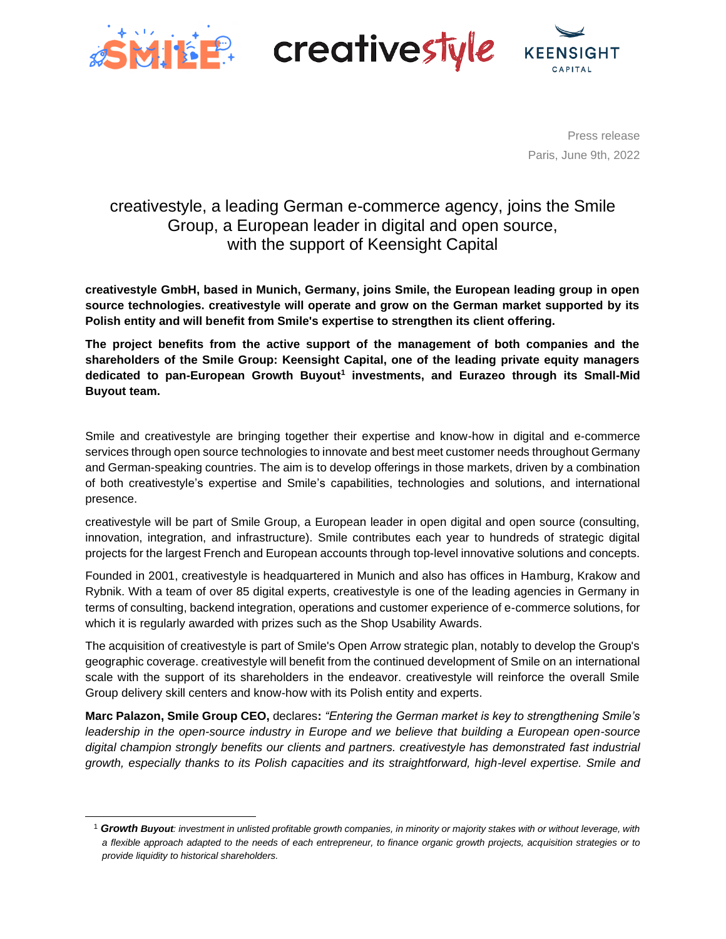

**MILE: creativestyle** 



Press release Paris, June 9th, 2022

# creativestyle, a leading German e-commerce agency, joins the Smile Group, a European leader in digital and open source, with the support of Keensight Capital

**creativestyle GmbH, based in Munich, Germany, joins Smile, the European leading group in open source technologies. creativestyle will operate and grow on the German market supported by its Polish entity and will benefit from Smile's expertise to strengthen its client offering.** 

**The project benefits from the active support of the management of both companies and the shareholders of the Smile Group: Keensight Capital, one of the leading private equity managers dedicated to pan-European Growth Buyout<sup>1</sup> investments, and Eurazeo through its Small-Mid Buyout team.**

Smile and creativestyle are bringing together their expertise and know-how in digital and e-commerce services through open source technologies to innovate and best meet customer needs throughout Germany and German-speaking countries. The aim is to develop offerings in those markets, driven by a combination of both creativestyle's expertise and Smile's capabilities, technologies and solutions, and international presence.

creativestyle will be part of Smile Group, a European leader in open digital and open source (consulting, innovation, integration, and infrastructure). Smile contributes each year to hundreds of strategic digital projects for the largest French and European accounts through top-level innovative solutions and concepts.

Founded in 2001, creativestyle is headquartered in Munich and also has offices in Hamburg, Krakow and Rybnik. With a team of over 85 digital experts, creativestyle is one of the leading agencies in Germany in terms of consulting, backend integration, operations and customer experience of e-commerce solutions, for which it is regularly awarded with prizes such as the Shop Usability Awards.

The acquisition of creativestyle is part of Smile's Open Arrow strategic plan, notably to develop the Group's geographic coverage. creativestyle will benefit from the continued development of Smile on an international scale with the support of its shareholders in the endeavor. creativestyle will reinforce the overall Smile Group delivery skill centers and know-how with its Polish entity and experts.

**Marc Palazon, Smile Group CEO,** declares**:** *"Entering the German market is key to strengthening Smile's leadership in the open-source industry in Europe and we believe that building a European open-source digital champion strongly benefits our clients and partners. creativestyle has demonstrated fast industrial growth, especially thanks to its Polish capacities and its straightforward, high-level expertise. Smile and*

<sup>1</sup> *Growth Buyout: investment in unlisted profitable growth companies, in minority or majority stakes with or without leverage, with a flexible approach adapted to the needs of each entrepreneur, to finance organic growth projects, acquisition strategies or to provide liquidity to historical shareholders.*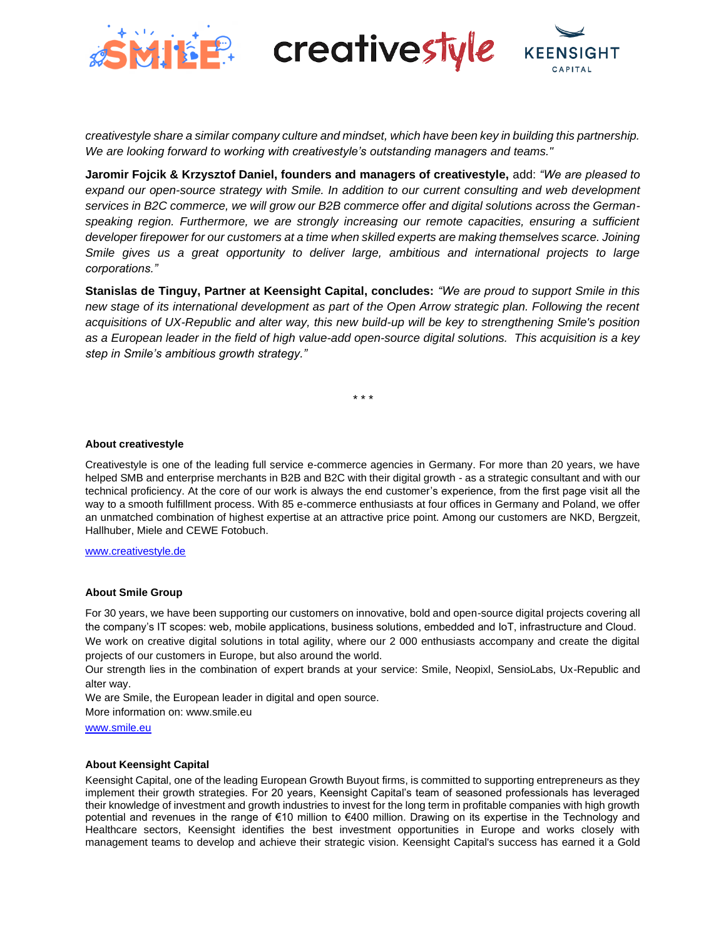



*creativestyle share a similar company culture and mindset, which have been key in building this partnership. We are looking forward to working with creativestyle's outstanding managers and teams."*

**Jaromir Fojcik & Krzysztof Daniel, founders and managers of creativestyle,** add: *"We are pleased to expand our open-source strategy with Smile. In addition to our current consulting and web development services in B2C commerce, we will grow our B2B commerce offer and digital solutions across the Germanspeaking region. Furthermore, we are strongly increasing our remote capacities, ensuring a sufficient developer firepower for our customers at a time when skilled experts are making themselves scarce. Joining Smile gives us a great opportunity to deliver large, ambitious and international projects to large corporations."*

**Stanislas de Tinguy, Partner at Keensight Capital, concludes:** *"We are proud to support Smile in this new stage of its international development as part of the Open Arrow strategic plan. Following the recent acquisitions of UX-Republic and alter way, this new build-up will be key to strengthening Smile's position as a European leader in the field of high value-add open-source digital solutions. This acquisition is a key step in Smile's ambitious growth strategy."*

*\* \* \**

#### **About creativestyle**

Creativestyle is one of the leading full service e-commerce agencies in Germany. For more than 20 years, we have helped SMB and enterprise merchants in B2B and B2C with their digital growth - as a strategic consultant and with our technical proficiency. At the core of our work is always the end customer's experience, from the first page visit all the way to a smooth fulfillment process. With 85 e-commerce enthusiasts at four offices in Germany and Poland, we offer an unmatched combination of highest expertise at an attractive price point. Among our customers are NKD, Bergzeit, Hallhuber, Miele and CEWE Fotobuch.

#### [www.creativestyle.de](https://www.creativestyle.de/)

#### **About Smile Group**

For 30 years, we have been supporting our customers on innovative, bold and open-source digital projects covering all the company's IT scopes: web, mobile applications, business solutions, embedded and IoT, infrastructure and Cloud. We work on creative digital solutions in total agility, where our 2 000 enthusiasts accompany and create the digital projects of our customers in Europe, but also around the world.

Our strength lies in the combination of expert brands at your service: Smile, Neopixl, SensioLabs, Ux-Republic and alter way.

We are Smile, the European leader in digital and open source.

More information on: www.smile.eu

[www.smile.eu](http://www.smile.eu/)

### **About Keensight Capital**

Keensight Capital, one of the leading European Growth Buyout firms, is committed to supporting entrepreneurs as they implement their growth strategies. For 20 years, Keensight Capital's team of seasoned professionals has leveraged their knowledge of investment and growth industries to invest for the long term in profitable companies with high growth potential and revenues in the range of €10 million to €400 million. Drawing on its expertise in the Technology and Healthcare sectors, Keensight identifies the best investment opportunities in Europe and works closely with management teams to develop and achieve their strategic vision. Keensight Capital's success has earned it a Gold